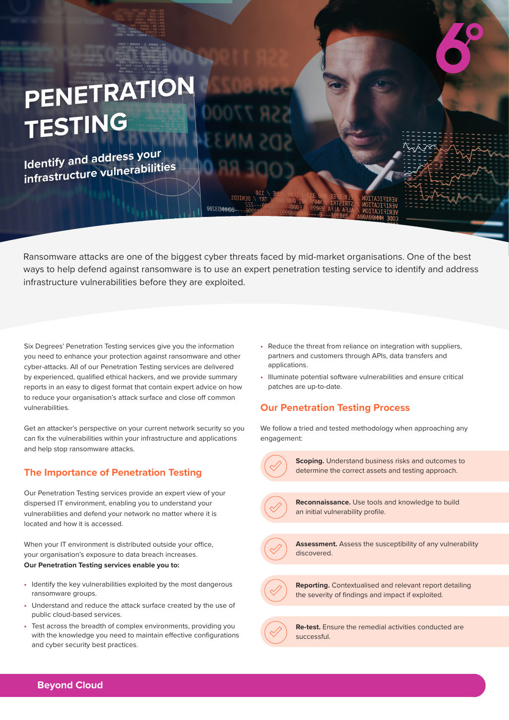## **PENETRATION TESTING**

**Identify and address your infrastructure vulnerabilities**

Ransomware attacks are one of the biggest cyber threats faced by mid-market organisations. One of the best ways to help defend against ransomware is to use an expert penetration testing service to identify and address infrastructure vulnerabilities before they are exploited.

MMM33200

Six Degrees' Penetration Testing services give you the information you need to enhance your protection against ransomware and other cyber-attacks. All of our Penetration Testing services are delivered by experienced, qualified ethical hackers, and we provide summary reports in an easy to digest format that contain expert advice on how to reduce your organisation's attack surface and close off common vulnerabilities.

Get an attacker's perspective on your current network security so you can fix the vulnerabilities within your infrastructure and applications and help stop ransomware attacks.

## **The Importance of Penetration Testing**

Our Penetration Testing services provide an expert view of your dispersed IT environment, enabling you to understand your vulnerabilities and defend your network no matter where it is located and how it is accessed.

When your IT environment is distributed outside your office, your organisation's exposure to data breach increases. **Our Penetration Testing services enable you to:**

- **•** Identify the key vulnerabilities exploited by the most dangerous ransomware groups.
- **•** Understand and reduce the attack surface created by the use of public cloud-based services.
- **•** Test across the breadth of complex environments, providing you with the knowledge you need to maintain effective configurations and cyber security best practices.
- **•** Reduce the threat from reliance on integration with suppliers, partners and customers through APIs, data transfers and applications.
- **•** Illuminate potential software vulnerabilities and ensure critical patches are up-to-date.

## **Our Penetration Testing Process**

We follow a tried and tested methodology when approaching any engagement:



**Scoping.** Understand business risks and outcomes to determine the correct assets and testing approach.



**Reconnaissance.** Use tools and knowledge to build an initial vulnerability profile.



**Assessment.** Assess the susceptibility of any vulnerability discovered.



**Reporting.** Contextualised and relevant report detailing the severity of findings and impact if exploited.



**Re-test.** Ensure the remedial activities conducted are successful.